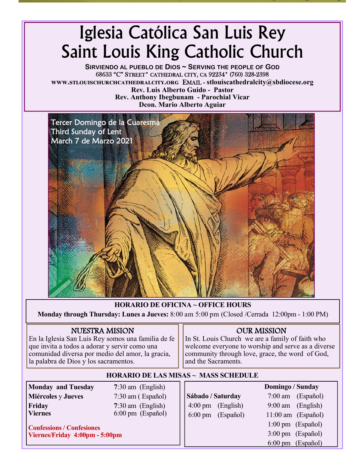## Iglesia Católica San Luis Rey Saint Louis King Catholic Church

**SIRVIENDO AL PUEBLO DE DIOS ~ SERVING THE PEOPLE OF GOD** 68633 "C" STREET\* CATHEDRAL CITY, CA 92234\* (760) 328-2398 **ඐඐඐ.ඌඍඅඈඎංඌർඁඎඋർඁർൺඍඁൾൽඋൺඅർංඍඒ.ඈඋ** EMAIL - **stlouiscathedralcity@sbdiocese.org Rev. Luis Alberto Guido - Pastor Rev. Anthony Ibegbunam - Parochial Vicar Dcon. Mario Alberto Aguiar** 



### **HORARIO DE OFICINA ~ OFFICE HOURS**

**Monday through Thursday: Lunes a Jueves:** 8:00 am 5:00 pm (Closed /Cerrada 12:00pm - 1:00 PM)

### NUESTRA MISION

En la Iglesia San Luis Rey somos una familia de fe que invita a todos a adorar y servir como una comunidad diversa por medio del amor, la gracia, la palabra de Dios y los sacramentos.

### OUR MISSION

In St. Louis Church we are a family of faith who welcome everyone to worship and serve as a diverse community through love, grace, the word of God, and the Sacraments.

| 110101010 <i>DL EI 10 MH01</i> 10                                  |                             |                                |                                |  |  |  |
|--------------------------------------------------------------------|-----------------------------|--------------------------------|--------------------------------|--|--|--|
| <b>Monday and Tuesday</b>                                          | $7:30$ am (English)         |                                | Domingo / Sunday               |  |  |  |
| Miércoles y Jueves                                                 | $7:30$ am (Español)         | Sábado / Saturday              | (Español)<br>$7:00 \text{ am}$ |  |  |  |
| Friday                                                             | $7:30$ am (English)         | (English)<br>$4:00 \text{ pm}$ | (English)<br>$9:00$ am         |  |  |  |
| <b>Viernes</b>                                                     | $6:00 \text{ pm}$ (Español) | $6:00 \text{ pm}$<br>(Español) | $11:00$ am (Español)           |  |  |  |
| <b>Confessions / Confesiones</b><br>Viernes/Friday 4:00pm - 5:00pm |                             |                                | $1:00 \text{ pm}$ (Español)    |  |  |  |
|                                                                    |                             |                                | (Español)<br>$3:00 \text{ pm}$ |  |  |  |
|                                                                    |                             |                                | $6:00 \text{ pm}$ (Español)    |  |  |  |

**HORARIO DE LAS MISAS ~ MASS SCHEDULE**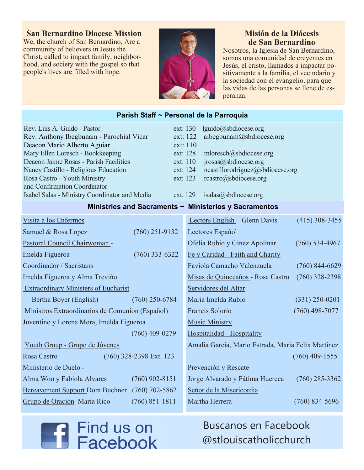### **San Bernardino Diocese Mission**

We, the church of San Bernardino, Are a community of believers in Jesus the Christ, called to impact family, neighborhood, and society with the gospel so that people's lives are filled with hope.



### **Misión de la Diócesis de San Bernardino**

Nosotros, la Iglesia de San Bernardino, somos una comunidad de creyentes en Jesús, el cristo, llamados a impactar positivamente a la familia, el vecindario y la sociedad con el evangelio, para que las vidas de las personas se llene de esperanza.

### **Parish Staff ~ Personal de la Parroquia**

| Rev. Luis A. Guido - Pastor<br>Rev. Anthony Ibegbunam - Parochial Vicar<br>Deacon Mario Alberto Aguiar<br>Mary Ellen Loresch - Bookkeeping<br>Deacon Jaime Rosas - Parish Facilities<br>Nancy Castillo - Religious Education<br>Rosa Castro - Youth Ministry<br>and Confirmation Coordinator<br>Isabel Salas - Ministry Coordinator and Media |                    | ext: 130<br>ext: 122<br>ext: 110<br>ext: 128<br>ext: 110<br>ext: 124<br>ext: 123<br>ext. 129 | lguido@sbdiocese.org<br>aibegbunam@sbdiocese.org<br>mloresch@sbdiocese.org<br>jrosas@sbdiocese.org<br>ncastillorodriguez@sbdiocese.org<br>rcastro@sbdiocese.org<br>isalas@sbdiocese.org |                                  |                  |  |
|-----------------------------------------------------------------------------------------------------------------------------------------------------------------------------------------------------------------------------------------------------------------------------------------------------------------------------------------------|--------------------|----------------------------------------------------------------------------------------------|-----------------------------------------------------------------------------------------------------------------------------------------------------------------------------------------|----------------------------------|------------------|--|
| Ministries and Sacraments ~ Ministerios y Sacramentos                                                                                                                                                                                                                                                                                         |                    |                                                                                              |                                                                                                                                                                                         |                                  |                  |  |
| Visita a los Enfermos                                                                                                                                                                                                                                                                                                                         |                    |                                                                                              | Lectors English Glenn Davis                                                                                                                                                             |                                  | $(415)$ 308-3455 |  |
| Samuel & Rosa Lopez                                                                                                                                                                                                                                                                                                                           | $(760)$ 251-9132   |                                                                                              | Lectores Español                                                                                                                                                                        |                                  |                  |  |
| Pastoral Council Chairwoman -                                                                                                                                                                                                                                                                                                                 |                    |                                                                                              | Ofelia Rubio y Ginez Apolinar                                                                                                                                                           |                                  | $(760)$ 534-4967 |  |
| Imelda Figueroa                                                                                                                                                                                                                                                                                                                               | $(760)$ 333-6322   |                                                                                              |                                                                                                                                                                                         | Fe y Caridad - Faith and Charity |                  |  |
| Coordinador / Sacristans                                                                                                                                                                                                                                                                                                                      |                    |                                                                                              | Faviola Camacho Valenzuela                                                                                                                                                              |                                  | $(760)$ 844-6629 |  |
| Imelda Figueroa y Alma Treviño                                                                                                                                                                                                                                                                                                                |                    |                                                                                              | $(760)$ 328-2398<br>Misas de Quinceaños - Rosa Castro                                                                                                                                   |                                  |                  |  |
| <b>Extraordinary Ministers of Eucharist</b>                                                                                                                                                                                                                                                                                                   |                    |                                                                                              | Servidores del Altar                                                                                                                                                                    |                                  |                  |  |
| Bertha Boyer (English)                                                                                                                                                                                                                                                                                                                        | $(760)$ 250-6784   |                                                                                              | Maria Imelda Rubio                                                                                                                                                                      |                                  | $(331)$ 250-0201 |  |
| Ministros Extraordinarios de Comunion (Español)                                                                                                                                                                                                                                                                                               |                    |                                                                                              | Francis Solorio                                                                                                                                                                         |                                  | $(760)$ 498-7077 |  |
| Juventino y Lorena Mora, Imelda Figueroa                                                                                                                                                                                                                                                                                                      |                    |                                                                                              | <b>Music Ministry</b>                                                                                                                                                                   |                                  |                  |  |
|                                                                                                                                                                                                                                                                                                                                               | $(760)$ 409-0279   |                                                                                              | Hospitalidad - Hospitality                                                                                                                                                              |                                  |                  |  |
| Youth Group - Grupo de Jóvenes                                                                                                                                                                                                                                                                                                                |                    |                                                                                              | Amalia Garcia, Mario Estrada, Maria Felix Martinez                                                                                                                                      |                                  |                  |  |
| Rosa Castro<br>(760) 328-2398 Ext. 123                                                                                                                                                                                                                                                                                                        |                    |                                                                                              | $(760)$ 409-1555                                                                                                                                                                        |                                  |                  |  |
| Ministerio de Duelo -                                                                                                                                                                                                                                                                                                                         |                    |                                                                                              | Prevención y Rescate                                                                                                                                                                    |                                  |                  |  |
| Alma Woo y Fabiola Alvares                                                                                                                                                                                                                                                                                                                    | $(760)$ 902-8151   |                                                                                              |                                                                                                                                                                                         | Jorge Alvarado y Fátima Huereca  | $(760)$ 285-3362 |  |
| Bereavement Support Dora Buchner (760) 702-5862                                                                                                                                                                                                                                                                                               |                    |                                                                                              | Señor de la Misericordia                                                                                                                                                                |                                  |                  |  |
| Grupo de Oración Maria Rico                                                                                                                                                                                                                                                                                                                   | $(760) 851 - 1811$ |                                                                                              | Martha Herrera                                                                                                                                                                          |                                  | $(760)$ 834-5696 |  |



Buscanos en Facebook @stlouiscatholicchurch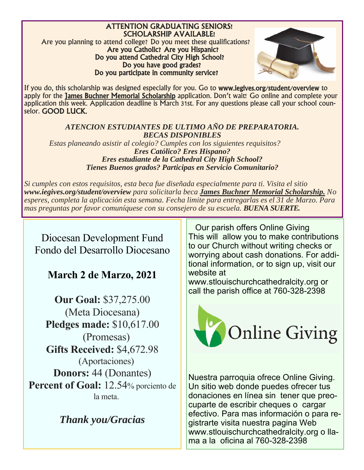ATTENTION GRADUATING SENIORS! SCHOLARSHIP AVAILABLE! Are you planning to attend college? Do you meet these qualifications? Are you Catholic? Are you Hispanic? Do you attend Cathedral City High School? Do you have good grades?<br>Do you participate in community service?



If you do, this scholarship was designed especially for you. Go to www.iegives.org/student/overview to apply for the James Buchner Memorial Scholarship application. Don't wait! Go online and complete your application this week. Application deadline is March 31st. For any questions please call your school counselor. GOOD LUCK.

*ATENCION ESTUDIANTES DE ULTIMO AÑO DE PREPARATORIA. BECAS DISPONIBLES Estas planeando asistir al colegio? Cumples con los siguientes requisitos? Eres Católico? Eres Hispano? Eres estudiante de la Cathedral City High School? Tienes Buenos grados? Participas en Servicio Comunitario?* 

*Si cumples con estos requisitos, esta beca fue diseñada especialmente para ti. Visita el sitio www.iegives.org/student/overview para solicitarla beca James Buchner Memorial Scholarship. No esperes, completa la aplicación esta semana. Fecha limite para entregarlas es el 31 de Marzo. Para mas preguntas por favor comuníquese con su consejero de su escuela. BUENA SUERTE.* 

Diocesan Development Fund Fondo del Desarrollo Diocesano

**March 2 de Marzo, 2021** 

**Our Goal:** \$37,275.00 (Meta Diocesana) **Pledges made:** \$10,617.00 (Promesas) **Gifts Received:** \$4,672.98 (Aportaciones) **Donors:** 44 (Donantes) Percent of Goal: 12.54% porciento de la meta.

*Thank you/Gracias* 

 Our parish offers Online Giving This will allow you to make contributions to our Church without writing checks or worrying about cash donations. For additional information, or to sign up, visit our website at

www.stlouischurchcathedralcity.org or call the parish office at 760-328-2398



Nuestra parroquia ofrece Online Giving. Un sitio web donde puedes ofrecer tus donaciones en línea sin tener que preocuparte de escribir cheques o cargar efectivo. Para mas información o para registrarte visita nuestra pagina Web www.stlouischurchcathedralcity.org o llama a la oficina al 760-328-2398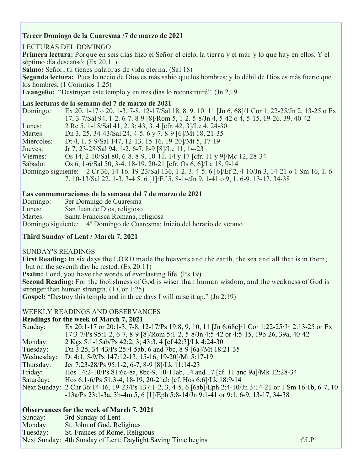### **Tercer Domingo de la Cuaresma /7 de marzo de 2021**

### LECTURAS DEL DOMINGO

**Primera lectura:** Porque en seis días hizo el Señor el cielo, la tierra y el mar y lo que hay en ellos. Y el séptimo día descansó: (Ex 20,11)

**Salmo:** Señor, tú tienes palabras de vida eterna. (Sal 18)

**Segunda lectura:** Pues lo necio de Dios es más sabio que los hombres; y lo débil de Dios es más fuerte que los hombres. (1 Corintios 1:25)

**Evangelio:** "Destruyan este templo y en tres días lo reconstruiré". (Jn 2,19

### **Las lecturas de la semana del 7 de marzo de 2021**

Domingo: Ex 20, 1-17 o 20, 1-3. 7-8. 12-17/Sal 18, 8. 9. 10. 11 [Jn 6, 68]/1 Cor 1, 22-25/Jn 2, 13-25 o Ex 17, 3-7/Sal 94, 1-2. 6-7. 8-9 [8]/Rom 5, 1-2. 5-8/Jn 4, 5-42 o 4, 5-15. 19-26. 39. 40-42 Lunes: 2 Re 5, 1-15/Sal 41, 2. 3; 43, 3. 4 [cfr. 42, 3]/Lc 4, 24-30 Martes: Dn 3, 25. 34-43/Sal 24, 4-5. 6 y 7. 8-9 [6]/Mt 18, 21-35 Miércoles: Dt 4, 1. 5-9/Sal 147, 12-13. 15-16. 19-20]/Mt 5, 17-19 Jueves: Jr 7, 23-28/Sal 94, 1-2. 6-7. 8-9 [8]/Lc 11, 14-23 Viernes: Os 14, 2-10/Sal 80, 6-8. 8-9. 10-11. 14 y 17 [cfr. 11 y 9]/Mc 12, 28-34 Sábado: Os 6, 1-6/Sal 50, 3-4. 18-19. 20-21 [cfr. Os 6, 6]/Lc 18, 9-14 Domingo siguiente: 2 Cr 36, 14-16. 19-23/Sal 136, 1-2. 3. 4-5. 6 [6]/Ef 2, 4-10/Jn 3, 14-21 o 1 Sm 16, 1. 6- 7. 10-13/Sal 22, 1-3. 3-4 5. 6 [1]/Ef 5, 8-14/Jn 9, 1-41 o 9, 1. 6-9. 13-17. 34-38

### **Las conmemoraciones de la semana del 7 de marzo de 2021**

- Domingo: 3er Domingo de Cuaresma
- Lunes: San Juan de Dios, religioso
- Martes: Santa Francisca Romana, religiosa
- Domingo siguiente: 4º Domingo de Cuaresma; Inicio del horario de verano

### **Third Sunday of Lent / March 7, 2021**

### SUNDAY'S READINGS

**First Reading:** In six days the LORD made the heavens and the earth, the sea and all that is in them; but on the seventh day he rested. (Ex 20:11)

**Psalm:** Lord, you have the words of everlasting life. (Ps 19)

**Second Reading:** For the foolishness of God is wiser than human wisdom, and the weakness of God is stronger than human strength. (1 Cor 1:25)

**Gospel:** "Destroy this temple and in three days I will raise it up." (Jn 2:19)

### WEEKLY READINGS AND OBSERVANCES

### **Readings for the week of March 7, 2021**

| Ex 20:1-17 or 20:1-3, 7-8, 12-17/Ps 19:8, 9, 10, 11 [Jn 6:68c]/1 Cor 1:22-25/Jn 2:13-25 or Ex<br>Sunday:    |  |
|-------------------------------------------------------------------------------------------------------------|--|
| 17:3-7/Ps 95:1-2, 6-7, 8-9 [8]/Rom 5:1-2, 5-8/Jn 4:5-42 or 4:5-15, 19b-26, 39a, 40-42                       |  |
| 2 Kgs 5:1-15ab/Ps 42:2, 3; 43:3, 4 [cf 42:3]/Lk 4:24-30<br>Monday:                                          |  |
| Dn 3:25, 34-43/Ps 25:4-5ab, 6 and 7bc, 8-9 [6a]/Mt 18:21-35<br>Tuesday:                                     |  |
| Wednesday:<br>Dt 4:1, 5-9/Ps 147:12-13, 15-16, 19-20]/Mt 5:17-19                                            |  |
| Jer 7:23-28/Ps 95:1-2, 6-7, 8-9 [8]/Lk 11:14-23<br>Thursday:                                                |  |
| Hos 14:2-10/Ps 81:6c-8a, 8bc-9, 10-11ab, 14 and 17 [cf. 11 and 9a]/Mk 12:28-34<br>Friday:                   |  |
| Hos 6:1-6/Ps 51:3-4, 18-19, 20-21ab [cf. Hos 6:6]/Lk 18:9-14<br>Saturday:                                   |  |
| Next Sunday: 2 Chr 36:14-16, 19-23/Ps 137:1-2, 3, 4-5, 6 [6ab]/Eph 2:4-10/Jn 3:14-21 or 1 Sm 16:1b, 6-7, 10 |  |
| $-13a/Ps$ 23:1-3a, 3b-4m 5, 6 [1]/Eph 5:8-14/Jn 9:1-41 or 9:1, 6-9, 13-17, 34-38                            |  |

### **Observances for the week of March 7, 2021**

- Sunday: 3rd Sunday of Lent
- Monday: St. John of God, Religious
- Tuesday: St. Frances of Rome, Religious
- Next Sunday: 4th Sunday of Lent; Daylight Saving Time begins ©LPi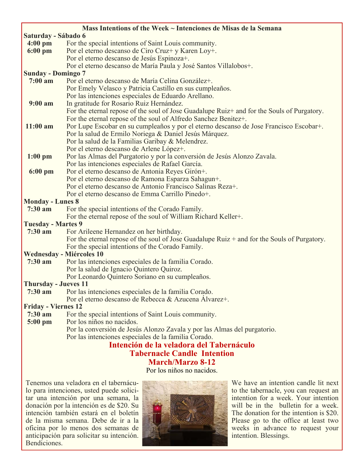| Mass Intentions of the Week ~ Intenciones de Misas de la Semana |                                                                                                            |  |  |  |
|-----------------------------------------------------------------|------------------------------------------------------------------------------------------------------------|--|--|--|
| Saturday - Sábado 6                                             |                                                                                                            |  |  |  |
| $4:00$ pm                                                       | For the special intentions of Saint Louis community.                                                       |  |  |  |
| $6:00$ pm                                                       | Por el eterno descanso de Ciro Cruz+ y Karen Loy+.                                                         |  |  |  |
|                                                                 | Por el eterno descanso de Jesús Espinoza+.                                                                 |  |  |  |
|                                                                 | Por el eterno descanso de María Paula y José Santos Villalobos+.                                           |  |  |  |
| <b>Sunday - Domingo 7</b>                                       |                                                                                                            |  |  |  |
| 7:00 a m                                                        | Por el eterno descanso de María Celina González+.                                                          |  |  |  |
|                                                                 | Por Emely Velasco y Patricia Castillo en sus cumpleaños.                                                   |  |  |  |
|                                                                 | Por las intenciones especiales de Eduardo Arellano.                                                        |  |  |  |
| $9:00$ am                                                       | In gratitude for Rosario Ruiz Hernández.                                                                   |  |  |  |
|                                                                 | For the eternal repose of the soul of Jose Guadalupe Ruiz+ and for the Souls of Purgatory.                 |  |  |  |
|                                                                 | For the eternal repose of the soul of Alfredo Sanchez Benitez+.                                            |  |  |  |
| $11:00$ am                                                      | Por Lupe Escobar en su cumpleaños y por el eterno descanso de Jose Francisco Escobar+.                     |  |  |  |
|                                                                 | Por la salud de Ermilo Noriega & Daniel Jesús Márquez.<br>Por la salud de la Familias Garibay & Melendrez. |  |  |  |
|                                                                 | Por el eterno descanso de Arlene López+.                                                                   |  |  |  |
| $1:00$ pm                                                       | Por las Almas del Purgatorio y por la conversión de Jesús Alonzo Zavala.                                   |  |  |  |
|                                                                 | Por las intenciones especiales de Rafael García.                                                           |  |  |  |
| $6:00$ pm                                                       | Por el eterno descanso de Antonia Reyes Girón+.                                                            |  |  |  |
|                                                                 | Por el eterno descanso de Ramona Esparza Sahagun+.                                                         |  |  |  |
|                                                                 | Por el eterno descanso de Antonio Francisco Salinas Reza+.                                                 |  |  |  |
|                                                                 | Por el eterno descanso de Emma Carrillo Pinedo+.                                                           |  |  |  |
| <b>Monday - Lunes 8</b>                                         |                                                                                                            |  |  |  |
| $7:30$ am                                                       | For the special intentions of the Corado Family.                                                           |  |  |  |
|                                                                 | For the eternal repose of the soul of William Richard Keller+.                                             |  |  |  |
| <b>Tuesday - Martes 9</b>                                       |                                                                                                            |  |  |  |
| $7:30$ am                                                       | For Arileene Hernandez on her birthday.                                                                    |  |  |  |
|                                                                 | For the eternal repose of the soul of Jose Guadalupe Ruiz $+$ and for the Souls of Purgatory.              |  |  |  |
|                                                                 | For the special intentions of the Corado Family.                                                           |  |  |  |
|                                                                 | <b>Wednesday - Miércoles 10</b>                                                                            |  |  |  |
| $7:30$ am                                                       | Por las intenciones especiales de la familia Corado.                                                       |  |  |  |
|                                                                 | Por la salud de Ignacio Quintero Quiroz.                                                                   |  |  |  |
|                                                                 | Por Leonardo Quintero Soriano en su cumpleaños.                                                            |  |  |  |
|                                                                 | <b>Thursday - Jueves 11</b>                                                                                |  |  |  |
| $7:30$ am                                                       | Por las intenciones especiales de la familia Corado.                                                       |  |  |  |
|                                                                 | Por el eterno descanso de Rebecca & Azucena Álvarez+.                                                      |  |  |  |
| <b>Friday - Viernes 12</b><br>$7:30$ am                         |                                                                                                            |  |  |  |
| $5:00$ pm                                                       | For the special intentions of Saint Louis community.<br>Por los niños no nacidos.                          |  |  |  |
|                                                                 | Por la conversión de Jesús Alonzo Zavala y por las Almas del purgatorio.                                   |  |  |  |
|                                                                 | Por las intenciones especiales de la familia Corado.                                                       |  |  |  |
|                                                                 | Intención de la veladora del Tabernáculo                                                                   |  |  |  |
| <b>Tabernacle Candle Intention</b>                              |                                                                                                            |  |  |  |
|                                                                 |                                                                                                            |  |  |  |
| <b>March/Marzo 8-12</b>                                         |                                                                                                            |  |  |  |

Por los niños no nacidos.

Tenemos una veladora en el tabernáculo para intenciones, usted puede solicitar una intención por una semana, la donación por la intención es de \$20. Su intención también estará en el boletín de la misma semana. Debe de ir a la oficina por lo menos dos semanas de anticipación para solicitar su intención. Bendiciones.



We have an intention candle lit next to the tabernacle, you can request an intention for a week. Your intention will be in the bulletin for a week. The donation for the intention is \$20. Please go to the office at least two weeks in advance to request your intention. Blessings.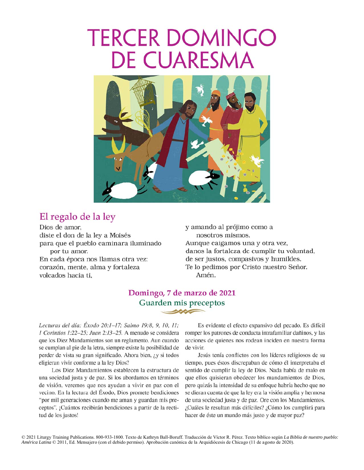## **TERCER DOMINGO DE CUARESMA**



## El regalo de la ley

volcados hacia ti,

Dios de amor. diste el don de la ley a Moisés para que el pueblo caminara iluminado por tu amor. En cada época nos llamas otra vez: corazón, mente, alma y fortaleza

y amando al prójimo como a nosotros mismos. Aunque caigamos una y otra vez, danos la fortaleza de cumplir tu voluntad, de ser justos, compasivos y humildes. Te lo pedimos por Cristo nuestro Señor. Amén.

## Domingo, 7 de marzo de 2021 Guarden mis preceptos

Lecturas del día: Éxodo 20:1-17; Salmo 19:8, 9, 10, 11; 1 Corintios 1:22-25; Juan 2:13-25. A menudo se considera que los Diez Mandamientos son un reglamento. Aun cuando se cumplan al pie de la letra, siempre existe la posibilidad de perder de vista su gran significado. Ahora bien, ¿y si todos eligieran vivir conforme a la ley Dios?

Los Diez Mandamientos establecen la estructura de una sociedad justa y de paz. Si los abordamos en términos de visión, veremos que nos ayudan a vivir en paz con el vecino. En la lectura del Éxodo, Dios promete bendiciones "por mil generaciones cuando me aman y guardan mis preceptos". ¡Cuántos recibirán bendiciones a partir de la rectitud de los justos!

Es evidente el efecto expansivo del pecado. Es difícil romper los patrones de conducta intrafamiliar dañinos, y las acciones de quienes nos rodean inciden en nuestra forma de vivir.

Jesús tenía conflictos con los líderes religiosos de su tiempo, pues éstos discrepaban de cómo él interpretaba el sentido de cumplir la ley de Dios. Nada había de malo en que ellos quisieran obedecer los mandamientos de Dios, pero quizás la intensidad de su enfoque habría hecho que no se dieran cuenta de que la ley era la visión amplia y hermosa de una sociedad justa y de paz. Ore con los Mandamientos. ¿Cuáles le resultan más difíciles? ¿Cómo los cumplirá para hacer de éste un mundo más justo y de mayor paz?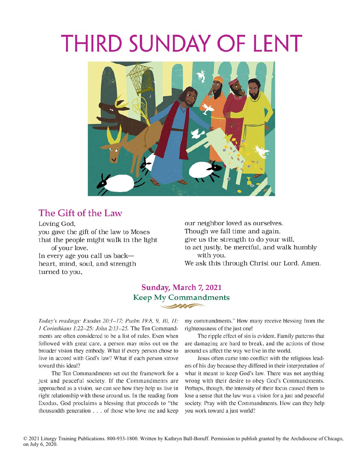# **THIRD SUNDAY OF LENT**



## The Gift of the Law

Loving God, you gave the gift of the law to Moses that the people might walk in the light of your love. In every age you call us back—

heart, mind, soul, and strength turned to you,

our neighbor loved as ourselves. Though we fall time and again, give us the strength to do your will. to act justly, be merciful, and walk humbly with you.

We ask this through Christ our Lord. Amen.

## Sunday, March 7, 2021 **Keep My Commandments**

Today's readings: Exodus 20:1-17; Psalm 19:8, 9, 10, 11; 1 Corinthians 1:22-25; John 2:13-25. The Ten Commandments are often considered to be a list of rules. Even when followed with great care, a person may miss out on the broader vision they embody. What if every person chose to live in accord with God's law? What if each person strove toward this ideal?

The Ten Commandments set out the framework for a just and peaceful society. If the Commandments are approached as a vision, we can see how they help us live in right relationship with those around us. In the reading from Exodus, God proclaims a blessing that proceeds to "the thousandth generation . . . of those who love me and keep

my commandments." How many receive blessing from the righteousness of the just one!

The ripple effect of sin is evident. Family patterns that are damaging are hard to break, and the actions of those around us affect the way we live in the world.

Jesus often came into conflict with the religious leaders of his day because they differed in their interpretation of what it meant to keep God's law. There was not anything wrong with their desire to obey God's Commandments. Perhaps, though, the intensity of their focus caused them to lose a sense that the law was a vision for a just and peaceful society. Pray with the Commandments. How can they help you work toward a just world?

© 2021 Liturgy Training Publications. 800-933-1800. Written by Kathryn Ball-Boruff. Permission to publish granted by the Archdiocese of Chicago, on July 6, 2020.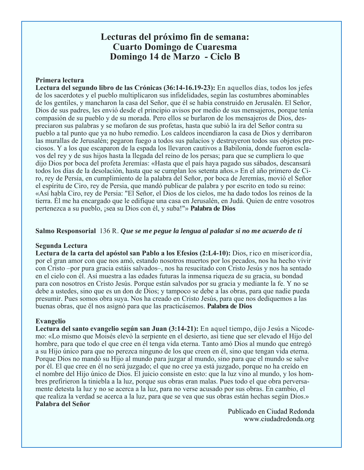## **Lecturas del próximo fin de semana: Cuarto Domingo de Cuaresma Domingo 14 de Marzo - Ciclo B**

### **Primera lectura**

**Lectura del segundo libro de las Crónicas (36:14-16.19-23):** En aquellos días, todos los jefes de los sacerdotes y el pueblo multiplicaron sus infidelidades, según las costumbres abominables de los gentiles, y mancharon la casa del Señor, que él se había construido en Jerusalén. El Señor, Dios de sus padres, les envió desde el principio avisos por medio de sus mensajeros, porque tenía compasión de su pueblo y de su morada. Pero ellos se burlaron de los mensajeros de Dios, despreciaron sus palabras y se mofaron de sus profetas, hasta que subió la ira del Señor contra su pueblo a tal punto que ya no hubo remedio. Los caldeos incendiaron la casa de Dios y derribaron las murallas de Jerusalén; pegaron fuego a todos sus palacios y destruyeron todos sus objetos preciosos. Y a los que escaparon de la espada los llevaron cautivos a Babilonia, donde fueron esclavos del rey y de sus hijos hasta la llegada del reino de los persas; para que se cumpliera lo que dijo Dios por boca del profeta Jeremías: «Hasta que el país haya pagado sus sábados, descansará todos los días de la desolación, hasta que se cumplan los setenta años.» En el año primero de Ciro, rey de Persia, en cumplimiento de la palabra del Señor, por boca de Jeremías, movió el Señor el espíritu de Ciro, rey de Persia, que mandó publicar de palabra y por escrito en todo su reino: «Así habla Ciro, rey de Persia: "El Señor, el Dios de los cielos, me ha dado todos los reinos de la tierra. Él me ha encargado que le edifique una casa en Jerusalén, en Judá. Quien de entre vosotros pertenezca a su pueblo, ¡sea su Dios con él, y suba!"» **Palabra de Dios**

### **Salmo Responsorial** 136 R. *Que se me pegue la lengua al paladar si no me acuerdo de ti*

### **Segunda Lectura**

**Lectura de la carta del apóstol san Pablo a los Efesios (2:L4-10):** Dios, rico en misericordia, por el gran amor con que nos amó, estando nosotros muertos por los pecados, nos ha hecho vivir con Cristo –por pura gracia estáis salvados–, nos ha resucitado con Cristo Jesús y nos ha sentado en el cielo con él. Así muestra a las edades futuras la inmensa riqueza de su gracia, su bondad para con nosotros en Cristo Jesús. Porque están salvados por su gracia y mediante la fe. Y no se debe a ustedes, sino que es un don de Dios; y tampoco se debe a las obras, para que nadie pueda presumir. Pues somos obra suya. Nos ha creado en Cristo Jesús, para que nos dediquemos a las buenas obras, que él nos asignó para que las practicásemos. **Palabra de Dios**

### **Evangelio**

**Lectura del santo evangelio según san Juan (3:14-21):** En aquel tiempo, dijo Jesús a Nicodemo: «Lo mismo que Moisés elevó la serpiente en el desierto, así tiene que ser elevado el Hijo del hombre, para que todo el que cree en él tenga vida eterna. Tanto amó Dios al mundo que entregó a su Hijo único para que no perezca ninguno de los que creen en él, sino que tengan vida eterna. Porque Dios no mandó su Hijo al mundo para juzgar al mundo, sino para que el mundo se salve por él. El que cree en él no será juzgado; el que no cree ya está juzgado, porque no ha creído en el nombre del Hijo único de Dios. El juicio consiste en esto: que la luz vino al mundo, y los hombres prefirieron la tiniebla a la luz, porque sus obras eran malas. Pues todo el que obra perversamente detesta la luz y no se acerca a la luz, para no verse acusado por sus obras. En cambio, el que realiza la verdad se acerca a la luz, para que se vea que sus obras están hechas según Dios.» **Palabra del Señor**

> Publicado en Ciudad Redonda www.ciudadredonda.org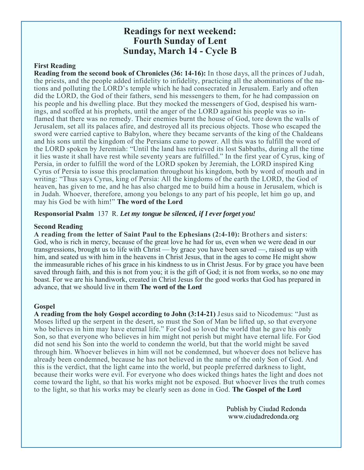## **Readings for next weekend: Fourth Sunday of Lent Sunday, March 14 - Cycle B**

### **First Reading**

**Reading from the second book of Chronicles (36: 14-16):** In those days, all the princes of Judah, the priests, and the people added infidelity to infidelity, practicing all the abominations of the nations and polluting the LORD's temple which he had consecrated in Jerusalem. Early and often did the LORD, the God of their fathers, send his messengers to them, for he had compassion on his people and his dwelling place. But they mocked the messengers of God, despised his warnings, and scoffed at his prophets, until the anger of the LORD against his people was so inflamed that there was no remedy. Their enemies burnt the house of God, tore down the walls of Jerusalem, set all its palaces afire, and destroyed all its precious objects. Those who escaped the sword were carried captive to Babylon, where they became servants of the king of the Chaldeans and his sons until the kingdom of the Persians came to power. All this was to fulfill the word of the LORD spoken by Jeremiah: "Until the land has retrieved its lost Sabbaths, during all the time it lies waste it shall have rest while seventy years are fulfilled." In the first year of Cyrus, king of Persia, in order to fulfill the word of the LORD spoken by Jeremiah, the LORD inspired King Cyrus of Persia to issue this proclamation throughout his kingdom, both by word of mouth and in writing: "Thus says Cyrus, king of Persia: All the kingdoms of the earth the LORD, the God of heaven, has given to me, and he has also charged me to build him a house in Jerusalem, which is in Judah. Whoever, therefore, among you belongs to any part of his people, let him go up, and may his God be with him!" **The word of the Lord** 

**Responsorial Psalm** 137 R. *Let my tongue be silenced, if I ever forget you!* 

### **Second Reading**

**A reading from the letter of Saint Paul to the Ephesians (2:4-10):** Brothers and sisters: God, who is rich in mercy, because of the great love he had for us, even when we were dead in our transgressions, brought us to life with Christ — by grace you have been saved —, raised us up with him, and seated us with him in the heavens in Christ Jesus, that in the ages to come He might show the immeasurable riches of his grace in his kindness to us in Christ Jesus. For by grace you have been saved through faith, and this is not from you; it is the gift of God; it is not from works, so no one may boast. For we are his handiwork, created in Christ Jesus for the good works that God has prepared in advance, that we should live in them **The word of the Lord** 

### **Gospel**

**A reading from the holy Gospel according to John (3:14-21)** Jesus said to Nicodemus: "Just as Moses lifted up the serpent in the desert, so must the Son of Man be lifted up, so that everyone who believes in him may have eternal life." For God so loved the world that he gave his only Son, so that everyone who believes in him might not perish but might have eternal life. For God did not send his Son into the world to condemn the world, but that the world might be saved through him. Whoever believes in him will not be condemned, but whoever does not believe has already been condemned, because he has not believed in the name of the only Son of God. And this is the verdict, that the light came into the world, but people preferred darkness to light, because their works were evil. For everyone who does wicked things hates the light and does not come toward the light, so that his works might not be exposed. But whoever lives the truth comes to the light, so that his works may be clearly seen as done in God. **The Gospel of the Lord** 

> Publish by Ciudad Redonda www.ciudadredonda.org